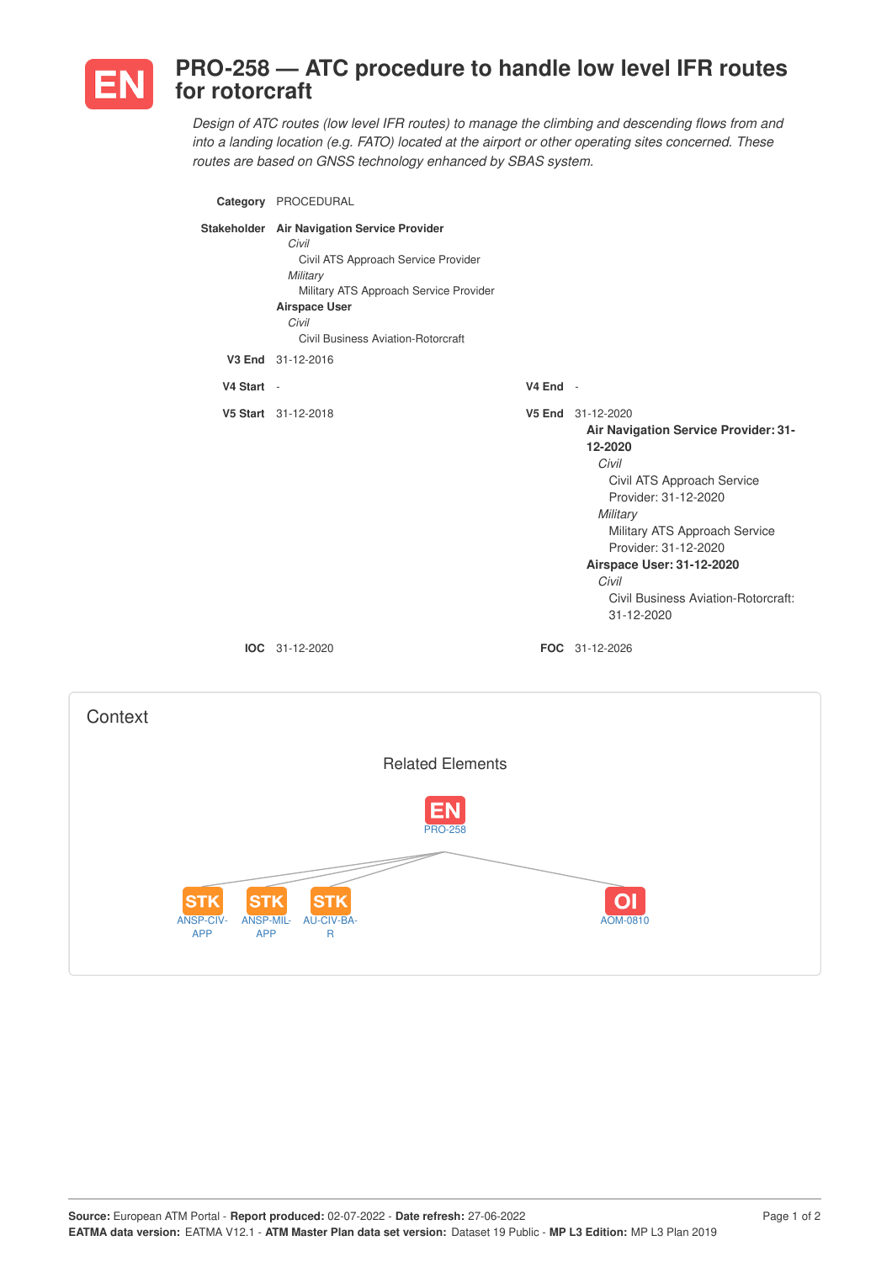

ANSP-CIV-APP

**STK** 

ANSP-MIL-APP

**STK** 

AU-CIV-BA-R

**STK** 

## **PRO-258 — ATC procedure to handle low level IFR routes for rotorcraft**

*Design of ATC routes (low level IFR routes) to manage the climbing and descending flows from and into a landing location (e.g. FATO) located at the airport or other operating sites concerned. These routes are based on GNSS technology enhanced by SBAS system.*

|            | Category PROCEDURAL                                                                                                                                                                                                             |            |                                                                                                                                                                                                                                                                                                                       |
|------------|---------------------------------------------------------------------------------------------------------------------------------------------------------------------------------------------------------------------------------|------------|-----------------------------------------------------------------------------------------------------------------------------------------------------------------------------------------------------------------------------------------------------------------------------------------------------------------------|
|            | Stakeholder Air Navigation Service Provider<br>Civil<br>Civil ATS Approach Service Provider<br>Military<br>Military ATS Approach Service Provider<br><b>Airspace User</b><br>Civil<br><b>Civil Business Aviation-Rotorcraft</b> |            |                                                                                                                                                                                                                                                                                                                       |
|            | V3 End 31-12-2016                                                                                                                                                                                                               |            |                                                                                                                                                                                                                                                                                                                       |
| V4 Start - |                                                                                                                                                                                                                                 | $V4$ End - |                                                                                                                                                                                                                                                                                                                       |
|            | V5 Start 31-12-2018<br>IOC 31-12-2020                                                                                                                                                                                           |            | V5 End 31-12-2020<br>Air Navigation Service Provider: 31-<br>12-2020<br>Civil<br>Civil ATS Approach Service<br>Provider: 31-12-2020<br>Military<br>Military ATS Approach Service<br>Provider: 31-12-2020<br>Airspace User: 31-12-2020<br>Civil<br>Civil Business Aviation-Rotorcraft:<br>31-12-2020<br>FOC 31-12-2026 |
| Context    |                                                                                                                                                                                                                                 |            |                                                                                                                                                                                                                                                                                                                       |
|            |                                                                                                                                                                                                                                 |            |                                                                                                                                                                                                                                                                                                                       |
|            | <b>Related Elements</b>                                                                                                                                                                                                         |            |                                                                                                                                                                                                                                                                                                                       |
|            |                                                                                                                                                                                                                                 |            |                                                                                                                                                                                                                                                                                                                       |

AOM-0810

 $|O|$ 

**Source:** European ATM Portal - **Report produced:** 02-07-2022 - **Date refresh:** 27-06-2022 Page 1 of 2 **EATMA data version:** EATMA V12.1 - **ATM Master Plan data set version:** Dataset 19 Public - **MP L3 Edition:** MP L3 Plan 2019